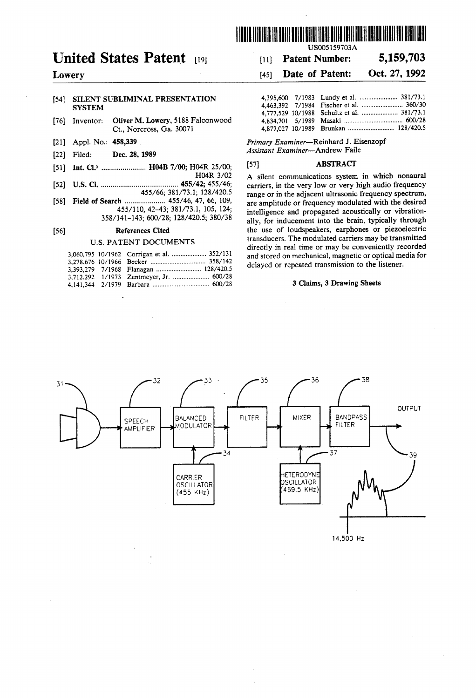

## United States Patent (19) 111 Patent Number: 5,159,703

# [54] SILENT SUBLIMINAL PRESENTATION 5YSTEM

- [76] Inventor: Oliver M. Lowery, 5188 Falconwood Ct., Norcross, Ga. 30071 4,877,027 10/1989
- 
- 
- 51) Int. Cl. ....................... H04B 7/00; H04R 25/00: 57 ABSTRACT
- 
- 
- 

|  | 3,060,795 10/1962 Corrigan et al.  352/131 |
|--|--------------------------------------------|
|  |                                            |
|  |                                            |
|  | 3,712.292 1/1973 Zentmeyer, Jr.  600/28    |
|  |                                            |

| US005159703A |  |
|--------------|--|
|--------------|--|

### Lowery [45] Date of Patent: Oct. 27, 1992

| SILENT SUBLIMINAL PRESENTATION |                                                    |                                            |
|--------------------------------|----------------------------------------------------|--------------------------------------------|
| SYSTEM                         |                                                    |                                            |
|                                |                                                    | 4.777.529 10/1988 Schultz et al.  381/73.1 |
|                                | Inventor: <b>Oliver M. Lowery, 5188 Falconwood</b> |                                            |
|                                | $C_1$ Norgross $G_2$ 30071                         |                                            |

[21] Appl. No.: 458,339 Primary Examiner-Reinhard J. Eisenzopf <sup>2</sup> Filed: **Dec. 28, 1989** *Assistant Examiner*-Andrew Faile

H04R 3/02 A silent communications system in which nonaural 152) U.S.C. 2012, 193/44, 195/46; carriers, in the very low or very high audio frequency<br>153/66; 381/73.1; 128/420.5 range or in the adiacent ultrasonic frequency spectrum. 455/66; 381/73.1; 128/420.5 range or in the adjacent ultrasonic frequency spectrum,  $58/140, 42-43; 381/73.1, 105, 124;$  intelligence and propagated acoustically or vibration-<br> $358/141-143; 600/28; 128/420.5; 380/38$  ally for inducement into the brain typically through ally, for inducement into the brain, typically through [56] References Cited the use of loudspeakers, earphones or piezoelectric<br>ILE BATENT DOCUMENTS transducers. The modulated carriers may be transmitted U.S. PATENT DOCUMENTS transducers. The modulated carriers may be transmitted directly in real time or may be conveniently recorded and stored on mechanical, magnetic or optical media for delayed or repeated transmission to the listener.

### 3 Claims, 3 Drawing Sheets

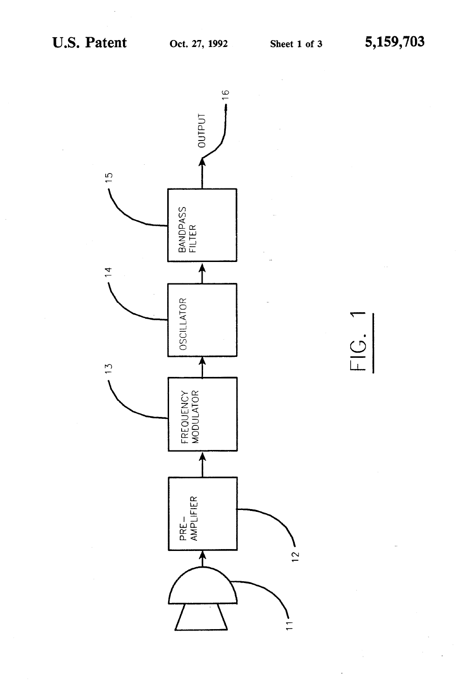$FIG. 1$ 

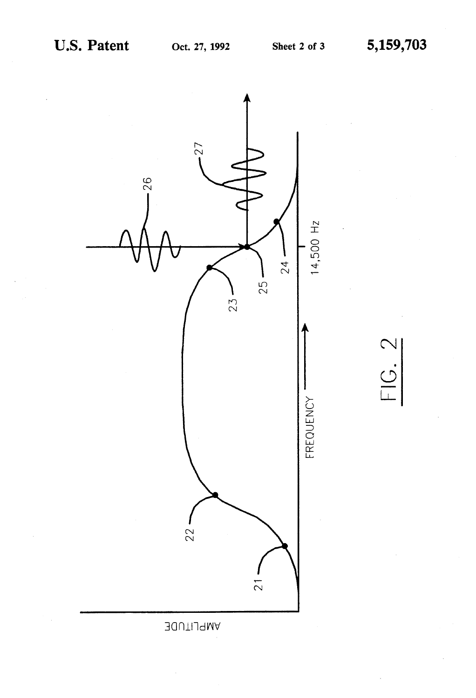$\bigcirc$ 

 $\overline{C}$ 

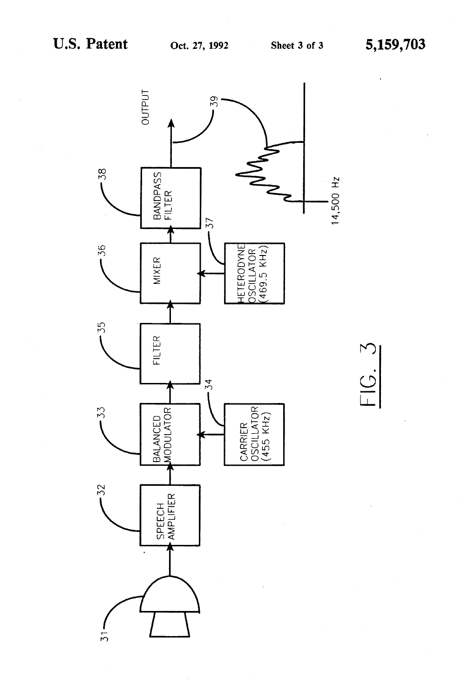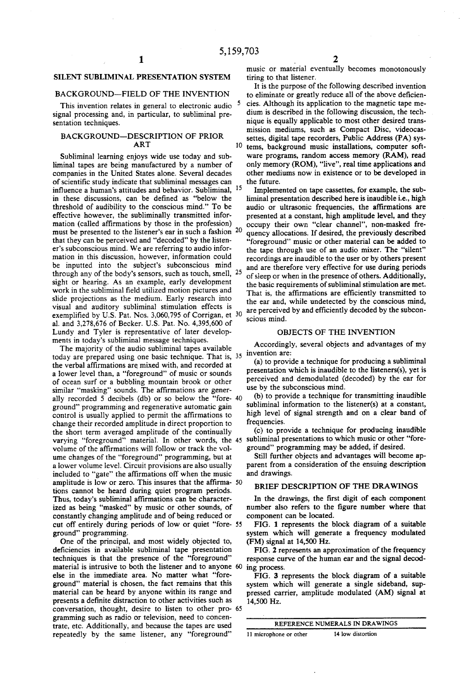### SLENT SUBLIMINAL PRESENTATION SYSTEM

### BACKGROUND-FIELD OF THE INVENTION

This invention relates in general to electronic audio<sup>5</sup> signal processing and, in particular, to subliminal presentation techniques.

### BACKGROUND-DESCRIPTION OF PRIOR ART

Subliminal learning enjoys wide use today and sub liminal tapes are being manufactured by a number of companies in the United States alone. Several decades of scientific study indicate that subliminal messages can influence a human's attitudes and behavior. Subliminal, 15 in these discussions, can be defined as "below the threshold of audibility to the conscious mind." To be effective however, the subliminally transmitted infor mation (called affirmations by those in the profession) must be presented to the listener's ear in such a fashion  $20$ that they can be perceived and "decoded" by the listen er's subconscious mind. We are referring to audio infor mation in this discussion, however, information could be inputted into the subject's subconscious mind through any of the body's sensors, such as touch, smell, <sup>25</sup> sight or hearing. As an example, early development work in the subliminal field utilized motion pictures and slide projections as the medium. Early research into visual and auditory subliminal stimulation effects is exemplified by U.S. Pat. Nos. 3,060,795 of Corrigan, et <sup>30</sup> al. and 3,278,676 of Becker. U.S. Pat. No. 4,395,600 of Lundy and Tyler is representative of later develop ments in today's subliminal message techniques.

The majority of the audio subliminal tapes available today are prepared using one basic technique. That is,  $35 \frac{\text{invention are}}{(2) \text{ to provide}}$ the verbal affirmations are mixed with, and recorded at a lower level than, a "foreground' of music or sounds of ocean surf or a bubbling mountain brook or other similar "masking" sounds. The affirmations are gener ally recorded 5 decibels (db) or so below the "fore-40 ground" programming and regenerative automatic gain control is usually applied to permit the affirmations to change their recorded amplitude in direct proportion to the short term averaged amplitude of the continually the short term averaged amplitude of the continually (c) to provide a technique for producing material.<br>
varying "foreground" material. In other words, the 45 subliminal presentations to which music or other "forevolume of the affirmations will follow or track the vol ume changes of the "foreground" programming, but at a lower volume level. Circuit provisions are also usually included to "gate" the affirmations off when the music amplitude is low or zero. This insures that the affirma-50 tions cannot be heard during quiet program periods. Thus, today's subliminal affirmations can be character ized as being "masked" by music or other sounds, of constantly changing amplitude and of being reduced or cut off entirely during periods of low or quiet "fore 55 ground" programming.

One of the principal, and most widely objected to, deficiencies in available subliminal tape presentation techniques is that the presence of the "foreground" material is intrusive to both the listener and to anyone else in the immediate area. No matter what "fore ground' material is chosen, the fact remains that this material can be heard by anyone within its range and presents a definite distraction to other activities such as gramming such as radio or television, need to concentrate, etc. Additionally, and because the tapes are used repeatedly by the same listener, any "foreground" conversation, thought, desire to listen to other pro- 65

music or material eventually becomes monotonously tiring to that listener.

10 It is the purpose of the following described invention to eliminate or greatly reduce all of the above deficien cies. Although its application to the magnetic tape me dium is described in the following discussion, the tech nique is equally applicable to most other desired trans mission mediums, such as Compact Disc, videocas settes, digital tape recorders, Public Address (PA) sys tems, background music installations, computer soft ware programs, random access memory (RAM), read only memory (ROM), "live", real time applications and other mediums now in existence or to be developed in the future.

Implemented on tape cassettes, for example, the sub-<br>liminal presentation described here is inaudible i.e., high audio or ultrasonic frequencies, the affirmations are presented at a constant, high amplitude level, and they occupy their own "clear channel", non-masked fre quency allocations. If desired, the previously described "foreground' music or other material can be added to the tape through use of an audio mixer. The "silent" recordings are inaudible to the user or by others present and are therefore very effective for use during periods of sleep or when in the presence of others. Additionally, the basic requirements of subliminal stimulation are met. That is, the affirmations are efficiently transmitted to the ear and, while undetected by the conscious mind, are perceived by and efficiently decoded by the subcon scious mind.

#### OBJECTS OF THE INVENTION

Accordingly, several objects and advantages of my

(a) to provide a technique for producing a subliminal presentation which is inaudible to the listeners(s), yet is perceived and demodulated (decoded) by the ear for use by the subconscious mind.

(b) to provide a technique for transmitting inaudible subliminal information to the listener(s) at a constant, high level of signal strength and on a clear band of frequencies.

(c) to provide a technique for producing inaudible ground' programming may be added, if desired.

Still further objects and advantages will become ap parent from a consideration of the ensuing description and drawings.

#### BRIEF DESCRIPTION OF THE DRAWINGS

In the drawings, the first digit of each component number also refers to the figure number where that component can be located.

FIG. 1 represents the block diagram of a suitable system which will generate a frequency modulated (FM) signal at 14,500 Hz.

FIG. 2 represents an approximation of the frequency response curve of the human ear and the signal decod ing process.

FIG. 3 represents the block diagram of a suitable system which will generate a single sideband, suppressed carrier, amplitude modulated (AM) signal at 14,500 Hz.

| REFERENCE NUMERALS IN DRAWINGS |                   |  |  |
|--------------------------------|-------------------|--|--|
| 11 microphone or other         | 14 low distortion |  |  |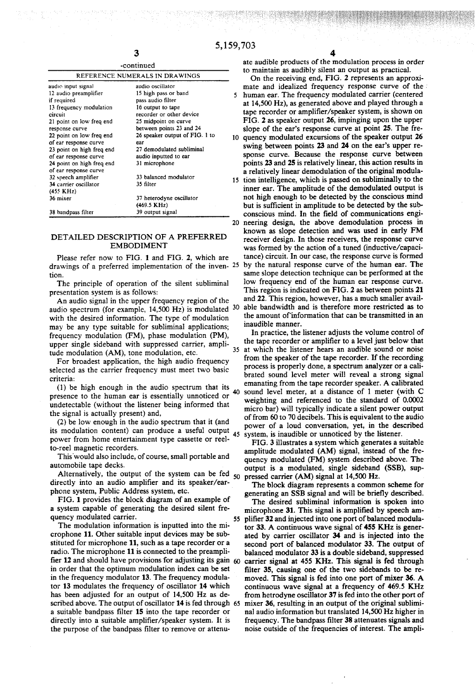|                           | -continued                     |   |
|---------------------------|--------------------------------|---|
|                           | REFERENCE NUMERALS IN DRAWINGS |   |
| audio input signal        | audio oscillator               |   |
| 12 audio preamplifier     | 15 high pass or band           |   |
| if required               | pass audio filter              |   |
| 13 frequency modulation   | 16 output to tape              |   |
| circuit                   | recorder or other device       |   |
| 21 point on low freq end  | 25 midpoint on curve           |   |
| response curve            | between points 23 and 24       |   |
| 22 point on low freq end  | 26 speaker output of FIG. 1 to | 1 |
| of ear response curve     | ear                            |   |
| 23 point on high freq end | 27 demodulated subliminal      |   |
| of ear response curve     | audio inputted to ear          |   |
| 24 point on high freq end | 31 microphone                  |   |
| of ear response curve     |                                |   |
| 32 speech amplifier       | 33 balanced modulator          |   |
| 34 carrier oscillator     | 35 filter                      |   |
| $(455 \text{ KHz})$       |                                |   |
| 36 mixer                  | 37 heterodyne oscillator       |   |
|                           | (469.5 KHz)                    |   |
| 38 bandpass filter        | 39 output signal               |   |

#### DETALED DESCRIPTION OF A PREFERRED EMBODIMENT

Please refer now to FIG. 1 and FIG. 2, which are tion.

The principle of operation of the silent subliminal presentation system is as follows:

An audio signal in the upper frequency region of the audio spectrum (for example,  $14,500$  Hz) is modulated  $30$ with the desired information. The type of modulation may be any type suitable for subliminal applications; frequency modulation (FM), phase modulation (PM), upper single sideband with suppressed carrier, ampli tude modulation (AM), tone modulation, etc. 35

For broadest application, the high audio frequency selected as the carrier frequency must meet two basic criteria:

(1) be high enough in the audio spectrum that its 40 presence to the human ear is essentially unnoticed or undetectable (without the listener being informed that the signal is actually present) and,

(2) be low enough in the audio spectrum that it (and its modulation content) can produce a useful output 45 power from home entertainment type cassette or reel to-reel magnetic recorders.

This would also include, of course, small portable and automobile tape decks.

Alternatively, the output of the system can be fed directly into an audio amplifier and its speaker/ear phone system, Public Address system, etc. 50

FIG. 1 provides the block diagram of an example of a system capable of generating the desired silent fre quency modulated carrier.

The modulation information is inputted into the mi crophone 11. Other suitable input devices may be sub stituted for microphone 11, such as a tape recorder or a radio. The microphone 11 is connected to the preamplifier 12 and should have provisions for adjusting its gain  $60$ in order that the optimum modulation index can be set in the frequency modulator 13. The frequency modula tor 13 modulates the frequency of oscillator 14 which has been adjusted for an output of 14,500 Hz as de scribed above. The output of oscillator 14 is fed through 65 a suitable bandpass filter 15 into the tape recorder or directly into a suitable amplifier/speaker system. It is the purpose of the bandpass filter to remove or attenu 55

ate audible products of the modulation process in order to maintain as audibly silent an output as practical.

drawings of a preferred implementation of the inven 25 by the natural response curve of the human ear. The O quency modulated excursions of the speaker output 26 15 tion intelligence, which is passed on subliminally to the conscious mind. In the field of communications engi-<br>20 neering design, the above demodulation process in On the receiving end, FIG. 2 represents an approxi mate and idealized frequency response curve of the human ear. The frequency modulated carrier (centered at 14,500 Hz), as generated above and played through a tape recorder or amplifier/speaker system, is shown on FIG. 2 as speaker output 26, impinging upon the upper slope of the ear's response curve at point 25. The freswing between points 23 and 24 on the ear's upper re sponse curve. Because the response curve between points 23 and 25 is relatively linear, this action results in a relatively linear demodulation of the original modula inner ear. The amplitude of the demodulated output is not high enough to be detected by the conscious mind but is sufficient in amplitude to be detected by the sub-<br>conscious mind. In the field of communications engiknown as slope detection and was used in early FM receiver design. In those receivers, the response curve was formed by the action of a tuned (inductive/capaci tance) circuit. In our case, the response curve is formed same slope detection technique can be performed at the low frequency end of the human ear response curve. This region is indicated on FIG. 2 as between points 21 and 22. This region, however, has a much smaller avail able bandwidth and is therefore more restricted as to the amount of information that can be transmitted in an inaudible manner.

> In practice, the listener adjusts the volume control of the tape recorder or amplifier to a level just below that at which the listener hears an audible sound or noise from the speaker of the tape recorder. If the recording process is properly done, a spectrum analyzer or a cali-<br>brated sound level meter will reveal a strong signal emanating from the tape recorder speaker. A calibrated sound level meter, at a distance of 1 meter (with C weighting and referenced to the standard of 0.0002 micro bar) will typically indicate a silent power output of from 60 to 70 decibels. This is equivalent to the audio power of a loud conversation, yet, in the described system, is inaudible or unnoticed by the listener.

> FIG. 3 illustrates a system which generates a suitable amplitude modulated (AM) signal, instead of the fre quency modulated (FM) system described above. The output is a modulated, single sideband (SSB), suppressed carrier (AM) signal at  $14,500$  Hz.

The block diagram represents a common scheme for generating an SSB signal and will be briefly described.

The desired subliminal information is spoken into microphone 31. This signal is amplified by speech am plifier 32 and injected into one port of balanced modula tor 33. A continuous wave signal of 455 KHz is generated by carrier oscillator 34 and is injected into the second port of balanced modulator 33. The output of balanced modulator 33 is a double sideband, suppressed carrier signal at 455 KHz. This signal is fed through filter 35, causing one of the two sidebands to be removed. This signal is fed into one port of mixer 36. A continuous wave signal at a frequency of 469.5 KHz from hetrodyne oscillator 37 is fed into the other port of mixer 36, resulting in an output of the original subliminal audio information but translated 14,500 Hz higher in frequency. The bandpass filter 38 attenuates signals and noise outside of the frequencies of interest. The ampli